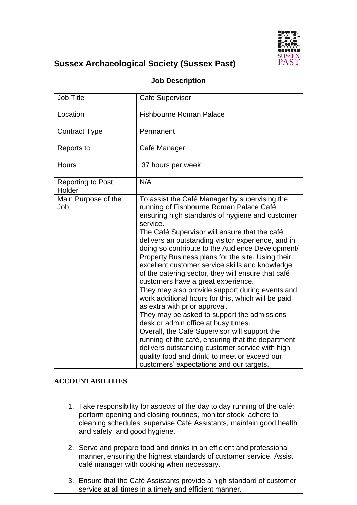

# **Sussex Archaeological Society (Sussex Past)**

| <b>Job Title</b>                   | <b>Cafe Supervisor</b>                                                                                                                                                                                                                                                                                                                                                                                                                                                                                                                                                                                                                                                                                                                                                                                                                                                                                                                                                                                       |
|------------------------------------|--------------------------------------------------------------------------------------------------------------------------------------------------------------------------------------------------------------------------------------------------------------------------------------------------------------------------------------------------------------------------------------------------------------------------------------------------------------------------------------------------------------------------------------------------------------------------------------------------------------------------------------------------------------------------------------------------------------------------------------------------------------------------------------------------------------------------------------------------------------------------------------------------------------------------------------------------------------------------------------------------------------|
| Location                           | <b>Fishbourne Roman Palace</b>                                                                                                                                                                                                                                                                                                                                                                                                                                                                                                                                                                                                                                                                                                                                                                                                                                                                                                                                                                               |
| <b>Contract Type</b>               | Permanent                                                                                                                                                                                                                                                                                                                                                                                                                                                                                                                                                                                                                                                                                                                                                                                                                                                                                                                                                                                                    |
| Reports to                         | Café Manager                                                                                                                                                                                                                                                                                                                                                                                                                                                                                                                                                                                                                                                                                                                                                                                                                                                                                                                                                                                                 |
| Hours                              | 37 hours per week                                                                                                                                                                                                                                                                                                                                                                                                                                                                                                                                                                                                                                                                                                                                                                                                                                                                                                                                                                                            |
| <b>Reporting to Post</b><br>Holder | N/A                                                                                                                                                                                                                                                                                                                                                                                                                                                                                                                                                                                                                                                                                                                                                                                                                                                                                                                                                                                                          |
| Main Purpose of the<br>Job         | To assist the Café Manager by supervising the<br>running of Fishbourne Roman Palace Café<br>ensuring high standards of hygiene and customer<br>service.<br>The Café Supervisor will ensure that the café<br>delivers an outstanding visitor experience, and in<br>doing so contribute to the Audience Development/<br>Property Business plans for the site. Using their<br>excellent customer service skills and knowledge<br>of the catering sector, they will ensure that café<br>customers have a great experience.<br>They may also provide support during events and<br>work additional hours for this, which will be paid<br>as extra with prior approval.<br>They may be asked to support the admissions<br>desk or admin office at busy times.<br>Overall, the Café Supervisor will support the<br>running of the café, ensuring that the department<br>delivers outstanding customer service with high<br>quality food and drink, to meet or exceed our<br>customers' expectations and our targets. |

## **Job Description**

#### **ACCOUNTABILITIES**

- 1. Take responsibility for aspects of the day to day running of the café; perform opening and closing routines, monitor stock, adhere to cleaning schedules, supervise Café Assistants, maintain good health and safety, and good hygiene.
- 2. Serve and prepare food and drinks in an efficient and professional manner, ensuring the highest standards of customer service. Assist café manager with cooking when necessary.
- 3. Ensure that the Café Assistants provide a high standard of customer service at all times in a timely and efficient manner.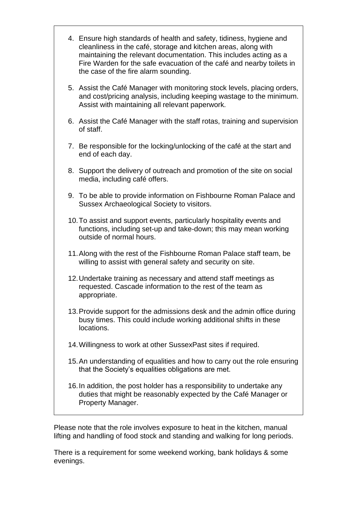- 4. Ensure high standards of health and safety, tidiness, hygiene and cleanliness in the café, storage and kitchen areas, along with maintaining the relevant documentation. This includes acting as a Fire Warden for the safe evacuation of the café and nearby toilets in the case of the fire alarm sounding.
- 5. Assist the Café Manager with monitoring stock levels, placing orders, and cost/pricing analysis, including keeping wastage to the minimum. Assist with maintaining all relevant paperwork.
- 6. Assist the Café Manager with the staff rotas, training and supervision of staff.
- 7. Be responsible for the locking/unlocking of the café at the start and end of each day.
- 8. Support the delivery of outreach and promotion of the site on social media, including café offers.
- 9. To be able to provide information on Fishbourne Roman Palace and Sussex Archaeological Society to visitors.
- 10.To assist and support events, particularly hospitality events and functions, including set-up and take-down; this may mean working outside of normal hours.
- 11.Along with the rest of the Fishbourne Roman Palace staff team, be willing to assist with general safety and security on site.
- 12.Undertake training as necessary and attend staff meetings as requested. Cascade information to the rest of the team as appropriate.
- 13.Provide support for the admissions desk and the admin office during busy times. This could include working additional shifts in these locations.
- 14.Willingness to work at other SussexPast sites if required.
- 15.An understanding of equalities and how to carry out the role ensuring that the Society's equalities obligations are met.
- 16.In addition, the post holder has a responsibility to undertake any duties that might be reasonably expected by the Café Manager or Property Manager.

Please note that the role involves exposure to heat in the kitchen, manual lifting and handling of food stock and standing and walking for long periods.

There is a requirement for some weekend working, bank holidays & some evenings.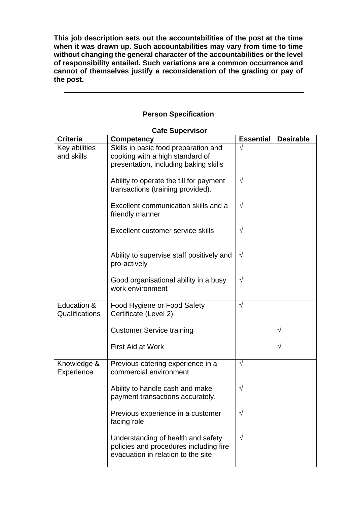**This job description sets out the accountabilities of the post at the time when it was drawn up. Such accountabilities may vary from time to time without changing the general character of the accountabilities or the level of responsibility entailed. Such variations are a common occurrence and cannot of themselves justify a reconsideration of the grading or pay of the post.**

## **Person Specification**

| Care Supervisor |                                           |                  |                  |  |
|-----------------|-------------------------------------------|------------------|------------------|--|
| <b>Criteria</b> | <b>Competency</b>                         | <b>Essential</b> | <b>Desirable</b> |  |
| Key abilities   | Skills in basic food preparation and      | V                |                  |  |
| and skills      | cooking with a high standard of           |                  |                  |  |
|                 | presentation, including baking skills     |                  |                  |  |
|                 |                                           |                  |                  |  |
|                 | Ability to operate the till for payment   | $\sqrt{}$        |                  |  |
|                 | transactions (training provided).         |                  |                  |  |
|                 |                                           |                  |                  |  |
|                 | Excellent communication skills and a      | V                |                  |  |
|                 | friendly manner                           |                  |                  |  |
|                 | Excellent customer service skills         | V                |                  |  |
|                 |                                           |                  |                  |  |
|                 |                                           |                  |                  |  |
|                 | Ability to supervise staff positively and | $\sqrt{}$        |                  |  |
|                 | pro-actively                              |                  |                  |  |
|                 |                                           |                  |                  |  |
|                 | Good organisational ability in a busy     | $\sqrt{}$        |                  |  |
|                 | work environment                          |                  |                  |  |
|                 |                                           |                  |                  |  |
| Education &     | Food Hygiene or Food Safety               | V                |                  |  |
| Qualifications  | Certificate (Level 2)                     |                  |                  |  |
|                 |                                           |                  |                  |  |
|                 | <b>Customer Service training</b>          |                  | $\sqrt{}$        |  |
|                 |                                           |                  |                  |  |
|                 | <b>First Aid at Work</b>                  |                  | $\sqrt{}$        |  |
|                 |                                           |                  |                  |  |
| Knowledge &     | Previous catering experience in a         | $\sqrt{}$        |                  |  |
| Experience      | commercial environment                    |                  |                  |  |
|                 |                                           |                  |                  |  |
|                 | Ability to handle cash and make           | V                |                  |  |
|                 | payment transactions accurately.          |                  |                  |  |
|                 | Previous experience in a customer         | V                |                  |  |
|                 | facing role                               |                  |                  |  |
|                 |                                           |                  |                  |  |
|                 | Understanding of health and safety        | $\sqrt{}$        |                  |  |
|                 | policies and procedures including fire    |                  |                  |  |
|                 | evacuation in relation to the site        |                  |                  |  |

### **Cafe Supervisor**